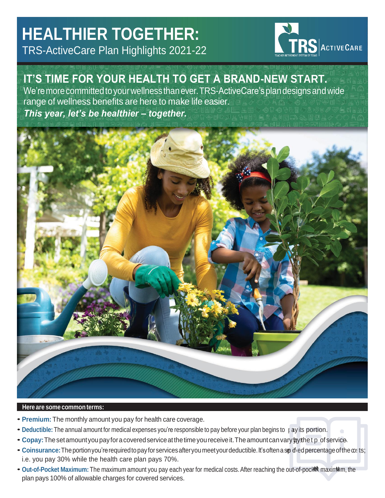# **HEALTHIER TOGETHER:** TRS-ActiveCare Plan Highlights 2021-22



# **IT'S TIME FOR YOUR HEALTH TO GET A BRAND-NEW START.**

We're more committed to your wellness than ever. TRS-ActiveCare's plan designs and wide range of wellness benefits are here to make life easier. *This year, let's be healthier – together.*



### **Here are some commonterms:**

- **Premium:** The monthly amount you pay for health care coverage.
- Deductible: The annual amount for medical expenses you're responsible to pay before your plan begins to pay its portion.
- Copay: The set amount you pay for a covered service at the time you receive it. The amount can vary by the tp of service.
- Coinsurance: The portion you're required to pay for services after you meet your deductible. It's often a sp d<sub>red</sub> percentage of the  $\omega_i$  ts; i.e. you pay 30% while the health care plan pays 70%.
- Out-of-Pocket Maximum: The maximum amount you pay each year for medical costs. After reaching the out-of-pocket maximum, the plan pays 100% of allowable charges for covered services.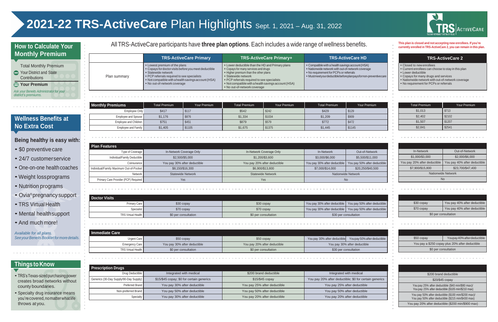### **Things to Know**

- TRS'sTexas-sizedpurchasingpower creates broad networks without county boundaries.
- Specialty drug insurance means you'recovered,nomatterwhatlife throws at you.

# **2021-22 TRS-ActiveCare** Plan Highlights Sept. 1, 2021 – Aug. 31, 2022

- \$0 preventive care
- 24/7 customerservice
- One-on-one health coaches
- Weight lossprograms
- Nutrition programs
- Ovia®pregnancysupport
- TRS Virtual Health
- Mental healthsupport
- And much more!

|              | <b>TRS-ActiveCare Primary</b>                                                                                                                                                                                                                        | <b>TRS-ActiveCare Primary+</b>                                                                                                                                                                                                                                                                  | <b>TRS-ActiveCare HD</b>                                                                                                                                                                                       |
|--------------|------------------------------------------------------------------------------------------------------------------------------------------------------------------------------------------------------------------------------------------------------|-------------------------------------------------------------------------------------------------------------------------------------------------------------------------------------------------------------------------------------------------------------------------------------------------|----------------------------------------------------------------------------------------------------------------------------------------------------------------------------------------------------------------|
| Plan summary | • Lowest premium of the plans<br>• Copays for doctor visits before you meet deductible<br>• Statewide network<br>• PCP referrals required to see specialists<br>• Not compatible with a health savings account (HSA)<br>• No out-of-network coverage | • Lower deductible than the HD and Primary plans<br>• Copays for many services and drugs<br>• Higher premium than the other plans<br>• Statewide network<br>• PCP referrals required to see specialists<br>• Not compatible with a health savings account (HSA)<br>• No out-of-network coverage | • Compatible with a health savings account (HSA)<br>• Nationwide network with out-of-network coverage<br>• No requirement for PCPs or referrals<br>• Mustmeetyourdeductiblebeforeplanpaysfornon-preventivecare |

| <b>Prescription Drugs</b>              |                                           |                              |                                                        |
|----------------------------------------|-------------------------------------------|------------------------------|--------------------------------------------------------|
| Drug Deductible                        | Integrated with medical                   | \$200 brand deductible       | Integrated with medical                                |
| Generics (30-Day Supply/90-Day Supply) | \$15/\$45 copay; \$0 for certain generics | $$15/\$45$ copay             | You pay 20% after deductible; \$0 for certain generics |
| Preferred Brand                        | You pay 30% after deductible              | You pay 25% after deductible | You pay 25% after deductible                           |
| Non-preferred Brand                    | You pay 50% after deductible              | You pay 50% after deductible | You pay 50% after deductible                           |
| Specialty                              | You pay 30% after deductible              | You pay 20% after deductible | You pay 20% after deductible                           |

Employee and Spouse \$1,176 \$876 \$876 \$1,334 \$1034 \$1034 \$1,209 \$909 Employee and Children **\$751** \$451 \$451 \$879 \$579 \$579 \$5772 \$472 Employee and Family | \$1,405 \$1105 \$1105 \$1,675 \$1,675 \$1375 \$1375 \$1,445 \$1445 \$1145



\$417 \$117 \$542 \$542 \$242 \$242 \$429 \$129

- Closed to new enrollees
- Current enrollees can choose to stay in this plan
- Lower deductible
- Copays for many drugs and services
- Nationwide network with out-of-network coverage
- No requirement for PCPs or referrals

### **TRS-ActiveCare 2**

| <b>Total Monthly Premium</b>             |  |
|------------------------------------------|--|
| Your District and State<br>Contributions |  |
|                                          |  |
| <b>← Your Premium</b>                    |  |

# All TRS-ActiveCare participants have three plan options. Each includes a wide range of wellness benefits.<br>Currently enrolled in TRS-ActiveCare 2, you can remain in this plan.

### **How to Calculate Your Monthly Premium**

### **Being healthy is easy with:**

*Available for all plans. SeeyourBeneitsBookletformoredetails.*

### **Wellness Benefits at No Extra Cost**

| <b>Total Premium</b> | <b>Your Premium</b> |
|----------------------|---------------------|
| \$1,013              | \$713               |
| \$2,402              | \$2102              |
| \$1,507              | \$1207              |
| \$2,841              | \$2541              |

**Monthly Premiums**

Employee Only

### Total Premium Your Premium Total Premium Your Premium Total Premium Your Premium

### In-Network Out-of-Network \$1,000/\$3,000 \$2,000/\$6,000 You pay 20% after deductible | You pay 40% after deductible \$7,900/\$15,800 \$23,700/\$47,400 Nationwide Network No

| <b>Plan Features</b>                    |                              |                              |                              |                              |
|-----------------------------------------|------------------------------|------------------------------|------------------------------|------------------------------|
| Type of Coverage                        | In-Network Coverage Only     | In-Network Coverage Only     | In-Network                   | Out-of-Network               |
| Individual/Family Deductible            | \$2,500/\$5,000              | \$1,200/\$3,600              | \$3,000/\$6,000              | \$5,500/\$11,000             |
| Coinsurance I                           | You pay 30% after deductible | You pay 20% after deductible | You pay 30% after deductible | You pay 50% after deductible |
| Individual/Family Maximum Out-of-Pocket | \$8,150/\$16,300             | \$6,900/\$13,800             | \$7,000/\$14,000             | \$20,250/\$40,500            |
| Network I                               | <b>Statewide Network</b>     | <b>Statewide Network</b>     |                              | <b>Nationwide Network</b>    |
| Primary Care Provider (PCP) Required    | Yes                          | Yes                          | <b>No</b>                    |                              |

| Doctor Visits               |                      |                      |                                                             |                       |
|-----------------------------|----------------------|----------------------|-------------------------------------------------------------|-----------------------|
| Primary Care I              | \$30 copay           | \$30 copay           | You pay 30% after deductible   You pay 50% after deductible |                       |
| Specialist                  | \$70 copay           | \$70 copay           | You pay 30% after deductible   You pay 50% after deductible |                       |
| <b>TRS Virtual Health I</b> | \$0 per consultation | \$0 per consultation |                                                             | \$30 per consultation |

| Immediate Care              |                              |                              |                                                           |                              |
|-----------------------------|------------------------------|------------------------------|-----------------------------------------------------------|------------------------------|
| Urgent Care                 | $$50$ copay                  | \$50 copay                   | You pay 30% after deductible You pay 50% after deductible |                              |
| Emergency Care              | You pay 30% after deductible | You pay 20% after deductible |                                                           | You pay 30% after deductible |
| <b>TRS Virtual Health I</b> | \$0 per consultation         | \$0 per consultation         |                                                           | \$30 per consultation        |

| \$30 copay | You pay 40% after deductible |
|------------|------------------------------|
| \$70 copay | You pay 40% after deductible |
|            | \$0 per consultation         |

| \$50 copay           | Youpay 40% after deductible                     |
|----------------------|-------------------------------------------------|
|                      | You pay a \$250 copay plus 20% after deductible |
| \$0 per consultation |                                                 |

| \$200 brand deductible                                                                                    |
|-----------------------------------------------------------------------------------------------------------|
| \$20/\$45 copay                                                                                           |
| You pay 25% after deductible (\$40 min/\$80 max)/<br>You pay 25% after deductible (\$105 min/\$210 max)   |
| You pay 50% after deductible (\$100 min/\$200 max)/<br>You pay 50% after deductible (\$215 min/\$430 max) |
| You pay 20% after deductible (\$200 min/\$900 max)                                                        |

| i<br>n.          | $\mathbb{R}$ | ALC: | - 11 | $\mathbf{r}$ | ш |  |
|------------------|--------------|------|------|--------------|---|--|
|                  |              |      |      |              |   |  |
| after deductible |              |      |      |              |   |  |
| after deductible |              |      |      |              |   |  |
|                  |              |      |      |              |   |  |
|                  |              |      |      |              |   |  |
| i<br>.           |              |      |      | - 11         | ш |  |
|                  |              |      |      |              |   |  |
| after deductible |              |      |      |              |   |  |
| le               |              |      |      |              |   |  |
|                  |              |      |      |              |   |  |

| tain generics |
|---------------|
| e             |
| e             |
| e             |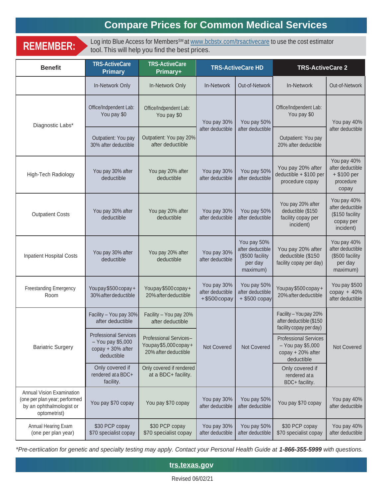# **Compare Prices for Common Medical Services**

**REMEMBER:** Log into Blue Access for Members<sup>sM</sup> at [www.bcbstx.com/trsactivecare](http://www.bcbstx.com/trsactivecare) to use the cost estimator tool This will help you find the best prices tool. This will help you find the best prices.

| <b>Benefit</b>                                                                                         | <b>TRS-ActiveCare</b><br><b>Primary</b>                                              | <b>TRS-ActiveCare</b><br>Primary+                                      | <b>TRS-ActiveCare HD</b>                               |                                                                           | <b>TRS-ActiveCare 2</b>                                                              |                                                                              |  |
|--------------------------------------------------------------------------------------------------------|--------------------------------------------------------------------------------------|------------------------------------------------------------------------|--------------------------------------------------------|---------------------------------------------------------------------------|--------------------------------------------------------------------------------------|------------------------------------------------------------------------------|--|
|                                                                                                        | In-Network Only                                                                      | In-Network Only                                                        | In-Network                                             | Out-of-Network                                                            | In-Network                                                                           | Out-of-Network                                                               |  |
|                                                                                                        | Office/Indpendent Lab:<br>You pay \$0                                                | Office/Indpendent Lab:<br>You pay \$0                                  | You pay 30%<br>after deductible                        | You pay 50%<br>after deductible                                           | Office/Indpendent Lab:<br>You pay \$0                                                | You pay 40%<br>after deductible                                              |  |
| Diagnostic Labs*                                                                                       | Outpatient: You pay<br>30% after deductible                                          | Outpatient: You pay 20%<br>after deductible                            |                                                        |                                                                           | Outpatient: You pay<br>20% after deductible                                          |                                                                              |  |
| High-Tech Radiology                                                                                    | You pay 30% after<br>deductible                                                      | You pay 20% after<br>deductible                                        | You pay 30%<br>after deductible                        | You pay 50%<br>after deductible                                           | You pay 20% after<br>deductible + \$100 per<br>procedure copay                       | You pay 40%<br>after deductible<br>$+ $100 per$<br>procedure<br>copay        |  |
| <b>Outpatient Costs</b>                                                                                | You pay 30% after<br>deductible                                                      | You pay 20% after<br>deductible                                        | You pay 30%<br>after deductible                        | You pay 50%<br>after deductible                                           | You pay 20% after<br>deductible (\$150<br>facility copay per<br>incident)            | You pay 40%<br>after deductible<br>(\$150 facility<br>copay per<br>incident) |  |
| <b>Inpatient Hospital Costs</b>                                                                        | You pay 30% after<br>deductible                                                      | You pay 20% after<br>deductible                                        | You pay 30%<br>after deductible                        | You pay 50%<br>after deductible<br>(\$500 facility<br>per day<br>maximum) | You pay 20% after<br>deductible (\$150<br>facility copay per day)                    | You pay 40%<br>after deductible<br>(\$500 facility<br>per day<br>maximum)    |  |
| <b>Freestanding Emergency</b><br>Room                                                                  | Youpay \$500 copay +<br>30% after deductible                                         | Youpay \$500 copay +<br>20% after deductible                           | You pay 30%<br>after deductible<br>$+$ \$500 $\cosh y$ | You pay 50%<br>after deductible<br>+ \$500 copay                          | Youpay \$500 copay +<br>20% after deductible                                         | You pay \$500<br>$copy + 40%$<br>after deductible                            |  |
|                                                                                                        | Facility - You pay 30%<br>after deductible                                           | Facility - You pay 20%<br>after deductible                             | Not Covered                                            | Not Covered                                                               |                                                                                      | Facility - You pay 20%<br>after deductible (\$150<br>facility copay per day) |  |
| <b>Bariatric Surgery</b>                                                                               | <b>Professional Services</b><br>- You pay \$5,000<br>copay + 30% after<br>deductible | Professional Services-<br>Youpay\$5,000 copay+<br>20% after deductible |                                                        |                                                                           | <b>Professional Services</b><br>- You pay \$5,000<br>copay + 20% after<br>deductible | Not Covered                                                                  |  |
|                                                                                                        | Only covered if<br>rendered at a BDC+<br>facility.                                   | Only covered if rendered<br>at a BDC+ facility.                        |                                                        |                                                                           | Only covered if<br>rendered at a<br>BDC+ facility.                                   |                                                                              |  |
| Annual Vision Examination<br>(one per plan year; performed<br>by an ophthalmologist or<br>optometrist) | You pay \$70 copay                                                                   | You pay \$70 copay                                                     | You pay 30%<br>after deductible                        | You pay 50%<br>after deductible                                           | You pay \$70 copay                                                                   | You pay 40%<br>after deductible                                              |  |
| Annual Hearing Exam<br>(one per plan year)                                                             | \$30 PCP copay<br>\$70 specialist copay                                              | \$30 PCP copay<br>\$70 specialist copay                                | You pay 30%<br>after deductible                        | You pay 50%<br>after deductible                                           | \$30 PCP copay<br>\$70 specialist copay                                              | You pay 40%<br>after deductible                                              |  |

*\*Pre-certiication for genetic and specialty testing may apply. Contact your Personal Health Guide at 1-866-355-5999 with questions.*

**trs.texas.gov**

Revised 06/02/21